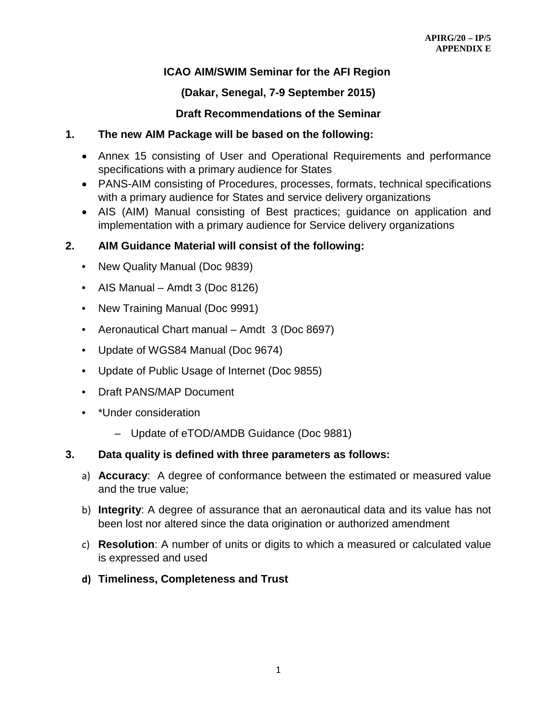# **ICAO AIM/SWIM Seminar for the AFI Region**

# **(Dakar, Senegal, 7-9 September 2015)**

# **Draft Recommendations of the Seminar**

## **1. The new AIM Package will be based on the following:**

- Annex 15 consisting of User and Operational Requirements and performance specifications with a primary audience for States
- PANS-AIM consisting of Procedures, processes, formats, technical specifications with a primary audience for States and service delivery organizations
- AIS (AIM) Manual consisting of Best practices; guidance on application and implementation with a primary audience for Service delivery organizations

## **2. AIM Guidance Material will consist of the following:**

- New Quality Manual (Doc 9839)
- AIS Manual Amdt 3 (Doc 8126)
- New Training Manual (Doc 9991)
- Aeronautical Chart manual Amdt 3 (Doc 8697)
- Update of WGS84 Manual (Doc 9674)
- Update of Public Usage of Internet (Doc 9855)
- Draft PANS/MAP Document
- \*Under consideration
	- Update of eTOD/AMDB Guidance (Doc 9881)

## **3. Data quality is defined with three parameters as follows:**

- a) **Accuracy**: A degree of conformance between the estimated or measured value and the true value;
- b) **Integrity**: A degree of assurance that an aeronautical data and its value has not been lost nor altered since the data origination or authorized amendment
- c) **Resolution**: A number of units or digits to which a measured or calculated value is expressed and used
- **d) Timeliness, Completeness and Trust**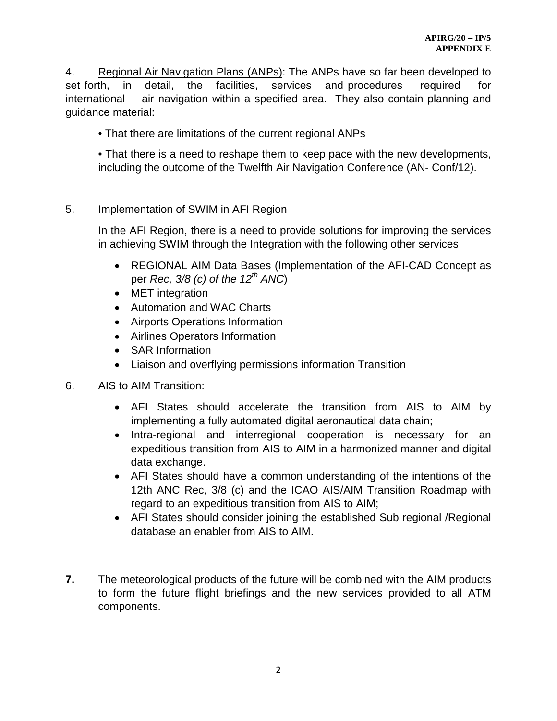4. Regional Air Navigation Plans (ANPs): The ANPs have so far been developed to set forth, in detail, the facilities, services and procedures required for international air navigation within a specified area. They also contain planning and guidance material:

• That there are limitations of the current regional ANPs

• That there is a need to reshape them to keep pace with the new developments, including the outcome of the Twelfth Air Navigation Conference (AN- Conf/12).

#### 5. Implementation of SWIM in AFI Region

In the AFI Region, there is a need to provide solutions for improving the services in achieving SWIM through the Integration with the following other services

- REGIONAL AIM Data Bases (Implementation of the AFI-CAD Concept as per *Rec, 3/8 (c) of the 12th ANC*)
- MET integration
- Automation and WAC Charts
- Airports Operations Information
- Airlines Operators Information
- SAR Information
- Liaison and overflying permissions information Transition

#### 6. AIS to AIM Transition:

- AFI States should accelerate the transition from AIS to AIM by implementing a fully automated digital aeronautical data chain;
- Intra-regional and interregional cooperation is necessary for an expeditious transition from AIS to AIM in a harmonized manner and digital data exchange.
- AFI States should have a common understanding of the intentions of the 12th ANC Rec, 3/8 (c) and the ICAO AIS/AIM Transition Roadmap with regard to an expeditious transition from AIS to AIM;
- AFI States should consider joining the established Sub regional /Regional database an enabler from AIS to AIM.
- **7.** The meteorological products of the future will be combined with the AIM products to form the future flight briefings and the new services provided to all ATM components.